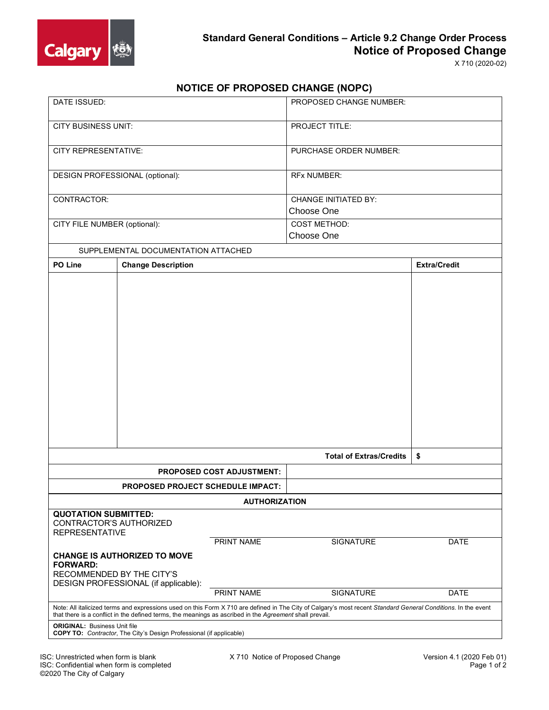

X 710 (2020-02)

## **NOTICE OF PROPOSED CHANGE (NOPC)**

| DATE ISSUED:                                                                                                                                                                                                                                                             |                           |            | <b>PROPOSED CHANGE NUMBER:</b>            |                     |
|--------------------------------------------------------------------------------------------------------------------------------------------------------------------------------------------------------------------------------------------------------------------------|---------------------------|------------|-------------------------------------------|---------------------|
| <b>CITY BUSINESS UNIT:</b>                                                                                                                                                                                                                                               |                           |            | PROJECT TITLE:                            |                     |
| CITY REPRESENTATIVE:                                                                                                                                                                                                                                                     |                           |            | PURCHASE ORDER NUMBER:                    |                     |
| DESIGN PROFESSIONAL (optional):                                                                                                                                                                                                                                          |                           |            | <b>RFx NUMBER:</b>                        |                     |
| CONTRACTOR:                                                                                                                                                                                                                                                              |                           |            | <b>CHANGE INITIATED BY:</b><br>Choose One |                     |
|                                                                                                                                                                                                                                                                          |                           |            |                                           |                     |
| CITY FILE NUMBER (optional):                                                                                                                                                                                                                                             |                           |            | <b>COST METHOD:</b><br>Choose One         |                     |
| SUPPLEMENTAL DOCUMENTATION ATTACHED                                                                                                                                                                                                                                      |                           |            |                                           |                     |
| PO Line                                                                                                                                                                                                                                                                  | <b>Change Description</b> |            |                                           | <b>Extra/Credit</b> |
|                                                                                                                                                                                                                                                                          |                           |            | <b>Total of Extras/Credits</b>            | \$                  |
| <b>PROPOSED COST ADJUSTMENT:</b>                                                                                                                                                                                                                                         |                           |            |                                           |                     |
| PROPOSED PROJECT SCHEDULE IMPACT:                                                                                                                                                                                                                                        |                           |            |                                           |                     |
|                                                                                                                                                                                                                                                                          |                           |            |                                           |                     |
| <b>AUTHORIZATION</b><br><b>QUOTATION SUBMITTED:</b><br>CONTRACTOR'S AUTHORIZED<br><b>REPRESENTATIVE</b>                                                                                                                                                                  |                           |            |                                           |                     |
|                                                                                                                                                                                                                                                                          |                           | PRINT NAME | <b>SIGNATURE</b>                          | DATE                |
| <b>CHANGE IS AUTHORIZED TO MOVE</b><br><b>FORWARD:</b><br>RECOMMENDED BY THE CITY'S<br>DESIGN PROFESSIONAL (if applicable):<br>PRINT NAME                                                                                                                                |                           |            | SIGNATURE                                 | <b>DATE</b>         |
|                                                                                                                                                                                                                                                                          |                           |            |                                           |                     |
| Note: All italicized terms and expressions used on this Form X 710 are defined in The City of Calgary's most recent Standard General Conditions. In the event<br>that there is a conflict in the defined terms, the meanings as ascribed in the Agreement shall prevail. |                           |            |                                           |                     |
| <b>ORIGINAL: Business Unit file</b><br><b>COPY TO:</b> Contractor, The City's Design Professional (if applicable)                                                                                                                                                        |                           |            |                                           |                     |